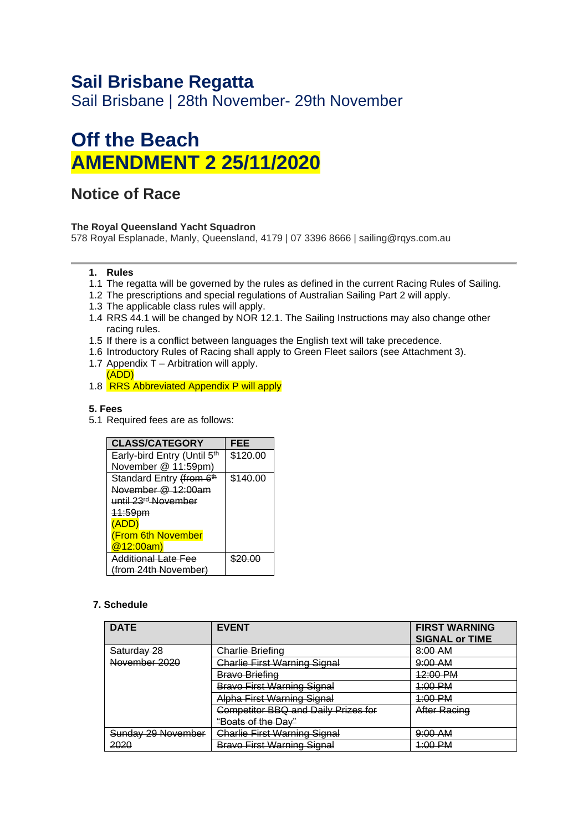# **Sail Brisbane Regatta**

Sail Brisbane | 28th November- 29th November

# **Off the Beach AMENDMENT 2 25/11/2020**

## **Notice of Race**

#### **The Royal Queensland Yacht Squadron**

578 Royal Esplanade, Manly, Queensland, 4179 | 07 3396 8666 | sailing@rqys.com.au

#### **1. Rules**

- 1.1 The regatta will be governed by the rules as defined in the current Racing Rules of Sailing.
- 1.2 The prescriptions and special regulations of Australian Sailing Part 2 will apply.
- 1.3 The applicable class rules will apply.
- 1.4 RRS 44.1 will be changed by NOR 12.1. The Sailing Instructions may also change other racing rules.
- 1.5 If there is a conflict between languages the English text will take precedence.
- 1.6 Introductory Rules of Racing shall apply to Green Fleet sailors (see Attachment 3).
- 1.7 Appendix  $\overline{T}$  Arbitration will apply. (ADD)
- 1.8 RRS Abbreviated Appendix P will apply

#### **5. Fees**

5.1 Required fees are as follows:

| <b>CLASS/CATEGORY</b>                | FEE      |
|--------------------------------------|----------|
| Early-bird Entry (Until 5th          | \$120.00 |
| November @ 11:59pm)                  |          |
| Standard Entry (from 6 <sup>th</sup> | \$140.00 |
| November $@$ 12:00am                 |          |
| until 23 <sup>rd</sup> November      |          |
| <del>11:59pm</del>                   |          |
| (ADD)                                |          |
| <b>(From 6th November</b>            |          |
| @12:00am)                            |          |
| Additional Late Fee                  |          |
| (from 24th November)                 |          |

#### **7. Schedule**

| <b>DATE</b>        | <b>EVENT</b>                        | <b>FIRST WARNING</b><br><b>SIGNAL or TIME</b> |
|--------------------|-------------------------------------|-----------------------------------------------|
| Saturday 28        | Charlie Briefing                    | $8:00$ AM                                     |
| November 2020      | <b>Charlie First Warning Signal</b> | 9:00 AM                                       |
|                    | <del>Bravo Briefing</del>           | 12:00 PM                                      |
|                    | <b>Bravo First Warning Signal</b>   | <u>1:00 PM</u>                                |
|                    | Alpha First Warning Signal          | <u>1:00 PM</u>                                |
|                    | Competitor BBQ and Daily Prizes for | After Racing                                  |
|                    | <del>"Boats of the Dav"</del>       |                                               |
| Sunday 29 November | <b>Charlie First Warning Signal</b> | $9:00$ AM                                     |
| 2020               | <b>Bravo First Warning Signal</b>   | <u>1:00 PM</u>                                |